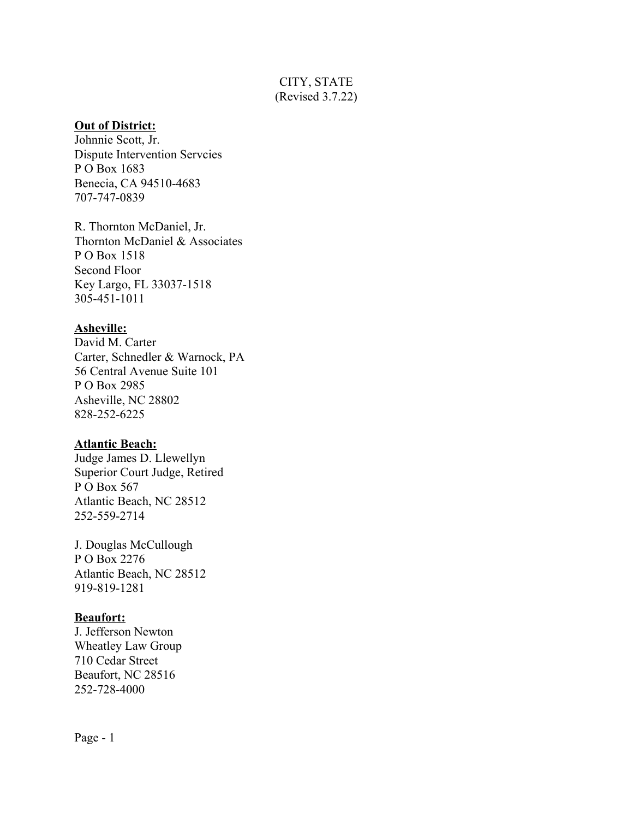# CITY, STATE (Revised 3.7.22)

## **Out of District:**

Johnnie Scott, Jr. Dispute Intervention Servcies P O Box 1683 Benecia, CA 94510-4683 707-747-0839

R. Thornton McDaniel, Jr. Thornton McDaniel & Associates P O Box 1518 Second Floor Key Largo, FL 33037-1518 305-451-1011

## **Asheville:**

David M. Carter Carter, Schnedler & Warnock, PA 56 Central Avenue Suite 101 P O Box 2985 Asheville, NC 28802 828-252-6225

# **Atlantic Beach:**

Judge James D. Llewellyn Superior Court Judge, Retired P O Box 567 Atlantic Beach, NC 28512 252-559-2714

J. Douglas McCullough P O Box 2276 Atlantic Beach, NC 28512 919-819-1281

# **Beaufort:**

J. Jefferson Newton Wheatley Law Group 710 Cedar Street Beaufort, NC 28516 252-728-4000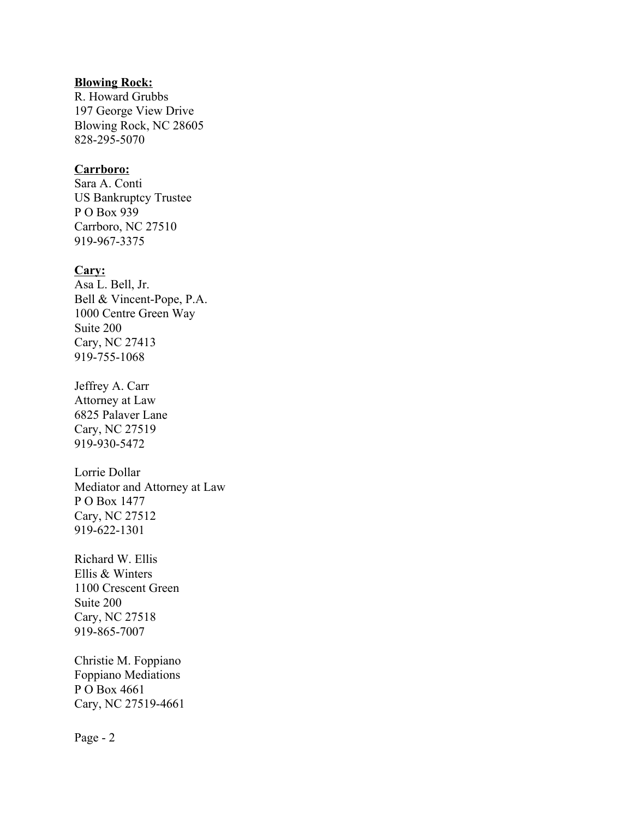## **Blowing Rock:**

R. Howard Grubbs 197 George View Drive Blowing Rock, NC 28605 828-295-5070

#### **Carrboro:**

Sara A. Conti US Bankruptcy Trustee P O Box 939 Carrboro, NC 27510 919-967-3375

#### **Cary:**

Asa L. Bell, Jr. Bell & Vincent-Pope, P.A. 1000 Centre Green Way Suite 200 Cary, NC 27413 919-755-1068

Jeffrey A. Carr Attorney at Law 6825 Palaver Lane Cary, NC 27519 919-930-5472

Lorrie Dollar Mediator and Attorney at Law P O Box 1477 Cary, NC 27512 919-622-1301

Richard W. Ellis Ellis & Winters 1100 Crescent Green Suite 200 Cary, NC 27518 919-865-7007

Christie M. Foppiano Foppiano Mediations P O Box 4661 Cary, NC 27519-4661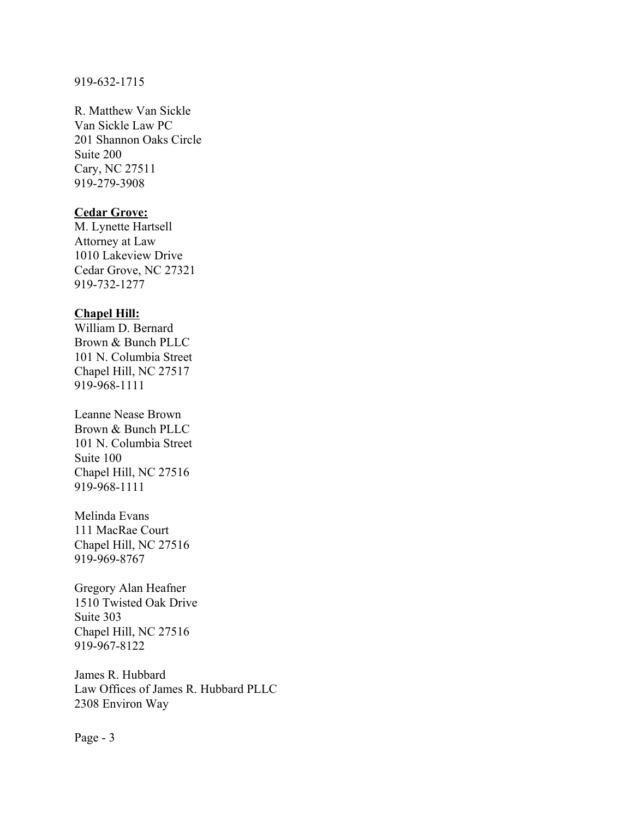#### 919-632-1715

R. Matthew Van Sickle Van Sickle Law PC 201 Shannon Oaks Circle Suite 200 Cary, NC 27511 919-279-3908

# **Cedar Grove:**

M. Lynette Hartsell Attorney at Law 1010 Lakeview Drive Cedar Grove, NC 27321 919-732-1277

#### **Chapel Hill:**

William D. Bernard Brown & Bunch PLLC 101 N. Columbia Street Chapel Hill, NC 27517 919-968-1111

Leanne Nease Brown Brown & Bunch PLLC 101 N. Columbia Street Suite 100 Chapel Hill, NC 27516 919-968-1111

Melinda Evans 111 MacRae Court Chapel Hill, NC 27516 919-969-8767

Gregory Alan Heafner 1510 Twisted Oak Drive Suite 303 Chapel Hill, NC 27516 919-967-8122

James R. Hubbard Law Offices of James R. Hubbard PLLC 2308 Environ Way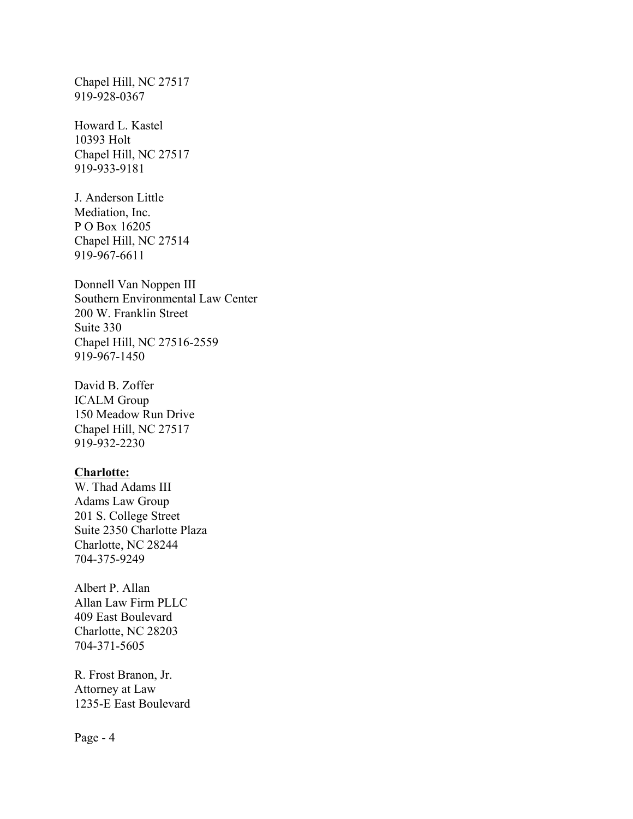Chapel Hill, NC 27517 919-928-0367

Howard L. Kastel 10393 Holt Chapel Hill, NC 27517 919-933-9181

J. Anderson Little Mediation, Inc. P O Box 16205 Chapel Hill, NC 27514 919-967-6611

Donnell Van Noppen III Southern Environmental Law Center 200 W. Franklin Street Suite 330 Chapel Hill, NC 27516-2559 919-967-1450

David B. Zoffer ICALM Group 150 Meadow Run Drive Chapel Hill, NC 27517 919-932-2230

### **Charlotte:**

W. Thad Adams III Adams Law Group 201 S. College Street Suite 2350 Charlotte Plaza Charlotte, NC 28244 704-375-9249

Albert P. Allan Allan Law Firm PLLC 409 East Boulevard Charlotte, NC 28203 704-371-5605

R. Frost Branon, Jr. Attorney at Law 1235-E East Boulevard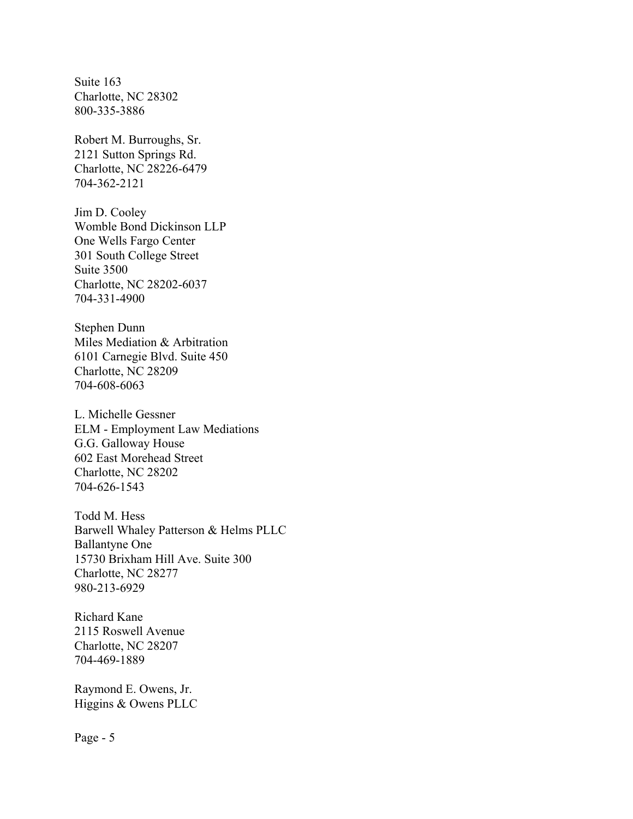Suite 163 Charlotte, NC 28302 800-335-3886

Robert M. Burroughs, Sr. 2121 Sutton Springs Rd. Charlotte, NC 28226-6479 704-362-2121

Jim D. Cooley Womble Bond Dickinson LLP One Wells Fargo Center 301 South College Street Suite 3500 Charlotte, NC 28202-6037 704-331-4900

Stephen Dunn Miles Mediation & Arbitration 6101 Carnegie Blvd. Suite 450 Charlotte, NC 28209 704-608-6063

L. Michelle Gessner ELM - Employment Law Mediations G.G. Galloway House 602 East Morehead Street Charlotte, NC 28202 704-626-1543

Todd M. Hess Barwell Whaley Patterson & Helms PLLC Ballantyne One 15730 Brixham Hill Ave. Suite 300 Charlotte, NC 28277 980-213-6929

Richard Kane 2115 Roswell Avenue Charlotte, NC 28207 704-469-1889

Raymond E. Owens, Jr. Higgins & Owens PLLC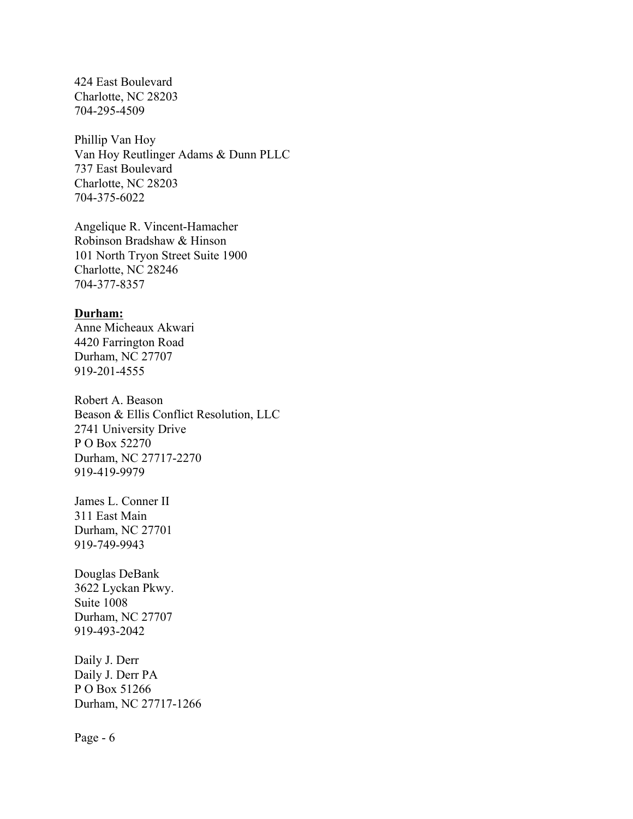424 East Boulevard Charlotte, NC 28203 704-295-4509

Phillip Van Hoy Van Hoy Reutlinger Adams & Dunn PLLC 737 East Boulevard Charlotte, NC 28203 704-375-6022

Angelique R. Vincent-Hamacher Robinson Bradshaw & Hinson 101 North Tryon Street Suite 1900 Charlotte, NC 28246 704-377-8357

#### **Durham:**

Anne Micheaux Akwari 4420 Farrington Road Durham, NC 27707 919-201-4555

Robert A. Beason Beason & Ellis Conflict Resolution, LLC 2741 University Drive P O Box 52270 Durham, NC 27717-2270 919-419-9979

James L. Conner II 311 East Main Durham, NC 27701 919-749-9943

Douglas DeBank 3622 Lyckan Pkwy. Suite 1008 Durham, NC 27707 919-493-2042

Daily J. Derr Daily J. Derr PA P O Box 51266 Durham, NC 27717-1266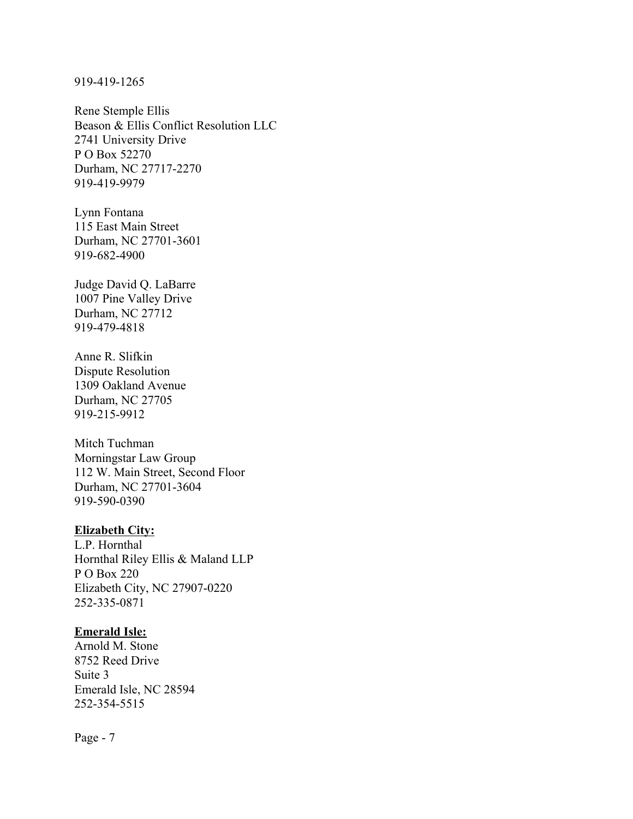#### 919-419-1265

Rene Stemple Ellis Beason & Ellis Conflict Resolution LLC 2741 University Drive P O Box 52270 Durham, NC 27717-2270 919-419-9979

Lynn Fontana 115 East Main Street Durham, NC 27701-3601 919-682-4900

Judge David Q. LaBarre 1007 Pine Valley Drive Durham, NC 27712 919-479-4818

Anne R. Slifkin Dispute Resolution 1309 Oakland Avenue Durham, NC 27705 919-215-9912

Mitch Tuchman Morningstar Law Group 112 W. Main Street, Second Floor Durham, NC 27701-3604 919-590-0390

## **Elizabeth City:**

L.P. Hornthal Hornthal Riley Ellis & Maland LLP P O Box 220 Elizabeth City, NC 27907-0220 252-335-0871

## **Emerald Isle:**

Arnold M. Stone 8752 Reed Drive Suite 3 Emerald Isle, NC 28594 252-354-5515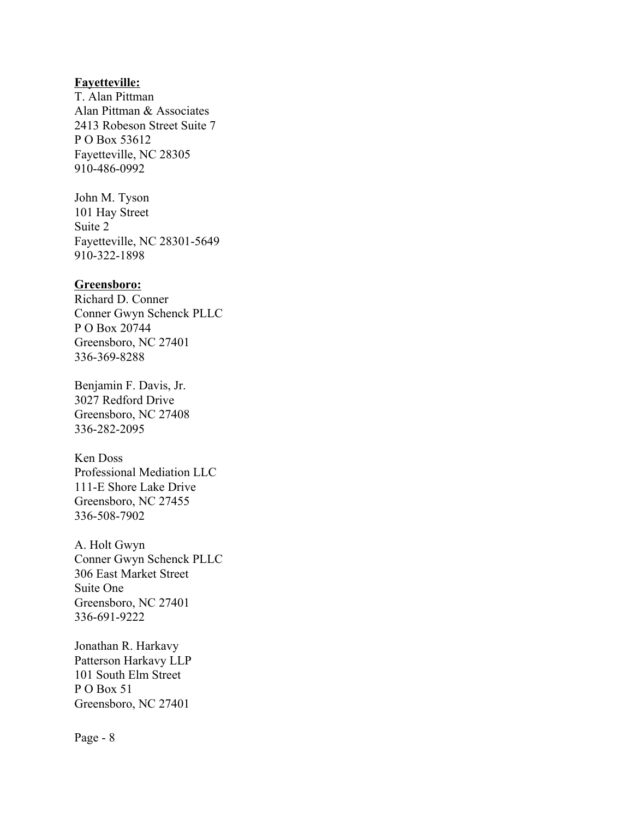## **Fayetteville:**

T. Alan Pittman Alan Pittman & Associates 2413 Robeson Street Suite 7 P O Box 53612 Fayetteville, NC 28305 910-486-0992

John M. Tyson 101 Hay Street Suite 2 Fayetteville, NC 28301-5649 910-322-1898

## **Greensboro:**

Richard D. Conner Conner Gwyn Schenck PLLC P O Box 20744 Greensboro, NC 27401 336-369-8288

Benjamin F. Davis, Jr. 3027 Redford Drive Greensboro, NC 27408 336-282-2095

Ken Doss Professional Mediation LLC 111-E Shore Lake Drive Greensboro, NC 27455 336-508-7902

A. Holt Gwyn Conner Gwyn Schenck PLLC 306 East Market Street Suite One Greensboro, NC 27401 336-691-9222

Jonathan R. Harkavy Patterson Harkavy LLP 101 South Elm Street P O Box 51 Greensboro, NC 27401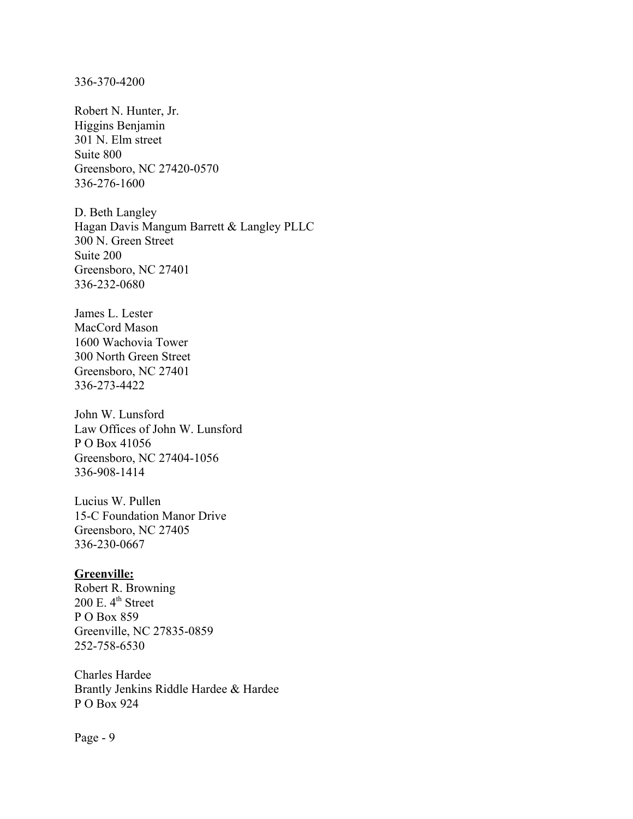336-370-4200

Robert N. Hunter, Jr. Higgins Benjamin 301 N. Elm street Suite 800 Greensboro, NC 27420-0570 336-276-1600

D. Beth Langley Hagan Davis Mangum Barrett & Langley PLLC 300 N. Green Street Suite 200 Greensboro, NC 27401 336-232-0680

James L. Lester MacCord Mason 1600 Wachovia Tower 300 North Green Street Greensboro, NC 27401 336-273-4422

John W. Lunsford Law Offices of John W. Lunsford P O Box 41056 Greensboro, NC 27404-1056 336-908-1414

Lucius W. Pullen 15-C Foundation Manor Drive Greensboro, NC 27405 336-230-0667

#### **Greenville:**

Robert R. Browning  $200$  E.  $4<sup>th</sup>$  Street P O Box 859 Greenville, NC 27835-0859 252-758-6530

Charles Hardee Brantly Jenkins Riddle Hardee & Hardee P O Box 924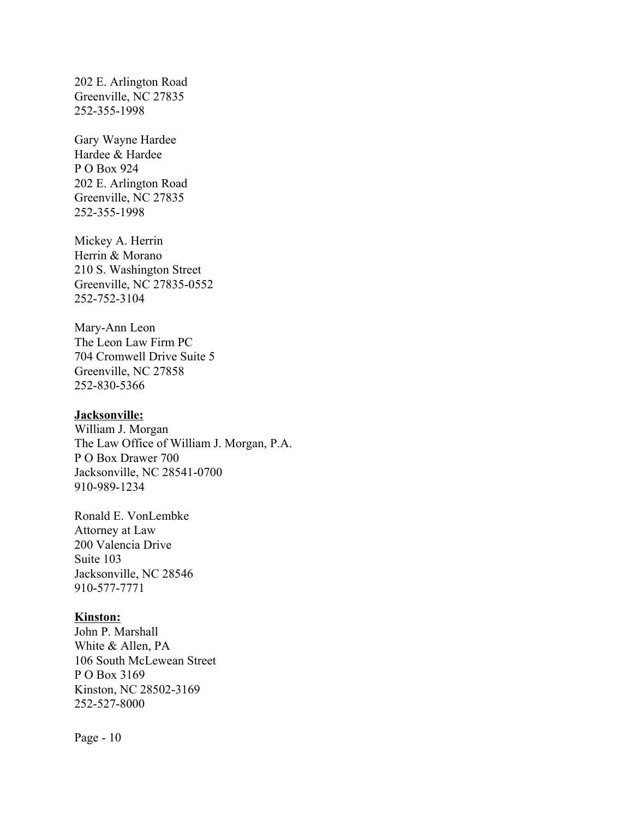202 E. Arlington Road Greenville, NC 27835 252-355-1998

Gary Wayne Hardee Hardee & Hardee P O Box 924 202 E. Arlington Road Greenville, NC 27835 252-355-1998

Mickey A. Herrin Herrin & Morano 210 S. Washington Street Greenville, NC 27835-0552 252-752-3104

Mary-Ann Leon The Leon Law Firm PC 704 Cromwell Drive Suite 5 Greenville, NC 27858 252-830-5366

## **Jacksonville:**

William J. Morgan The Law Office of William J. Morgan, P.A. P O Box Drawer 700 Jacksonville, NC 28541-0700 910-989-1234

Ronald E. VonLembke Attorney at Law 200 Valencia Drive Suite 103 Jacksonville, NC 28546 910-577-7771

#### **Kinston:**

John P. Marshall White & Allen, PA 106 South McLewean Street P O Box 3169 Kinston, NC 28502-3169 252-527-8000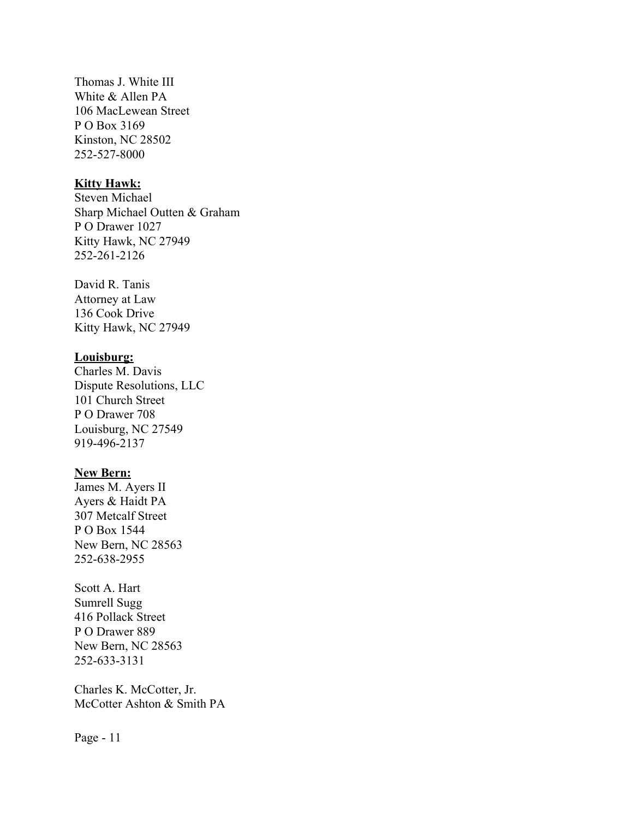Thomas J. White III White & Allen PA 106 MacLewean Street P O Box 3169 Kinston, NC 28502 252-527-8000

## **Kitty Hawk:**

Steven Michael Sharp Michael Outten & Graham P O Drawer 1027 Kitty Hawk, NC 27949 252-261-2126

David R. Tanis Attorney at Law 136 Cook Drive Kitty Hawk, NC 27949

#### **Louisburg:**

Charles M. Davis Dispute Resolutions, LLC 101 Church Street P O Drawer 708 Louisburg, NC 27549 919-496-2137

#### **New Bern:**

James M. Ayers II Ayers & Haidt PA 307 Metcalf Street P O Box 1544 New Bern, NC 28563 252-638-2955

Scott A. Hart Sumrell Sugg 416 Pollack Street P O Drawer 889 New Bern, NC 28563 252-633-3131

Charles K. McCotter, Jr. McCotter Ashton & Smith PA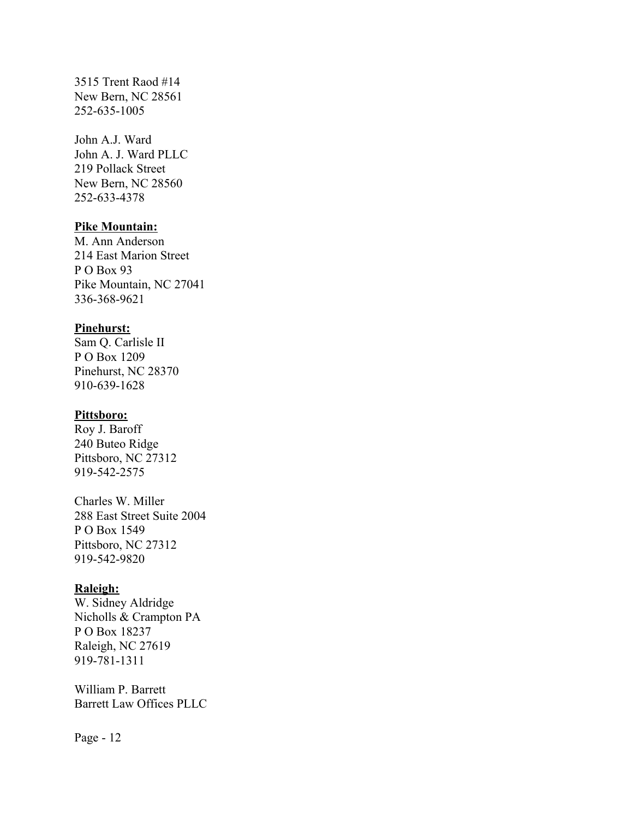3515 Trent Raod #14 New Bern, NC 28561 252-635-1005

John A.J. Ward John A. J. Ward PLLC 219 Pollack Street New Bern, NC 28560 252-633-4378

#### **Pike Mountain:**

M. Ann Anderson 214 East Marion Street P O Box 93 Pike Mountain, NC 27041 336-368-9621

#### **Pinehurst:**

Sam Q. Carlisle II P O Box 1209 Pinehurst, NC 28370 910-639-1628

## **Pittsboro:**

Roy J. Baroff 240 Buteo Ridge Pittsboro, NC 27312 919-542-2575

Charles W. Miller 288 East Street Suite 2004 P O Box 1549 Pittsboro, NC 27312 919-542-9820

#### **Raleigh:**

W. Sidney Aldridge Nicholls & Crampton PA P O Box 18237 Raleigh, NC 27619 919-781-1311

William P. Barrett Barrett Law Offices PLLC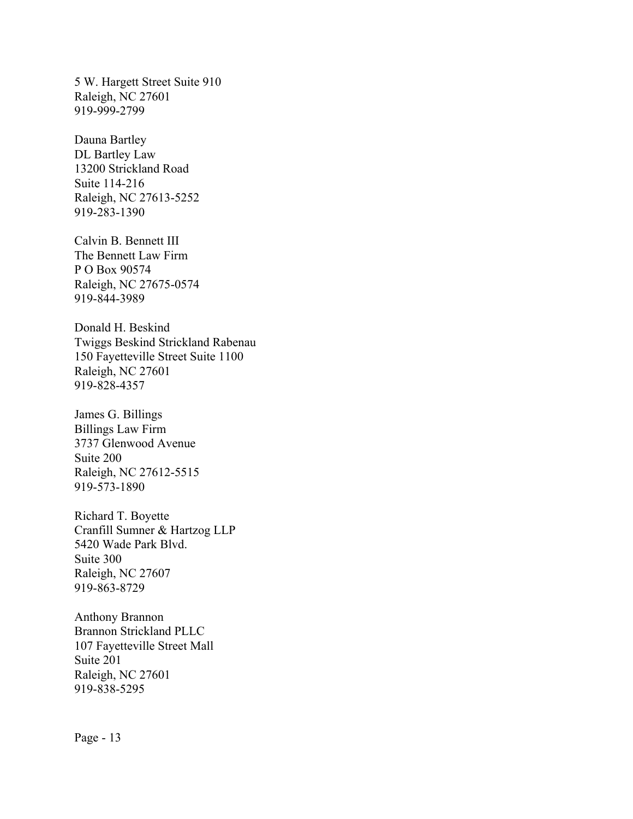5 W. Hargett Street Suite 910 Raleigh, NC 27601 919-999-2799

Dauna Bartley DL Bartley Law 13200 Strickland Road Suite 114-216 Raleigh, NC 27613-5252 919-283-1390

Calvin B. Bennett III The Bennett Law Firm P O Box 90574 Raleigh, NC 27675-0574 919-844-3989

Donald H. Beskind Twiggs Beskind Strickland Rabenau 150 Fayetteville Street Suite 1100 Raleigh, NC 27601 919-828-4357

James G. Billings Billings Law Firm 3737 Glenwood Avenue Suite 200 Raleigh, NC 27612-5515 919-573-1890

Richard T. Boyette Cranfill Sumner & Hartzog LLP 5420 Wade Park Blvd. Suite 300 Raleigh, NC 27607 919-863-8729

Anthony Brannon Brannon Strickland PLLC 107 Fayetteville Street Mall Suite 201 Raleigh, NC 27601 919-838-5295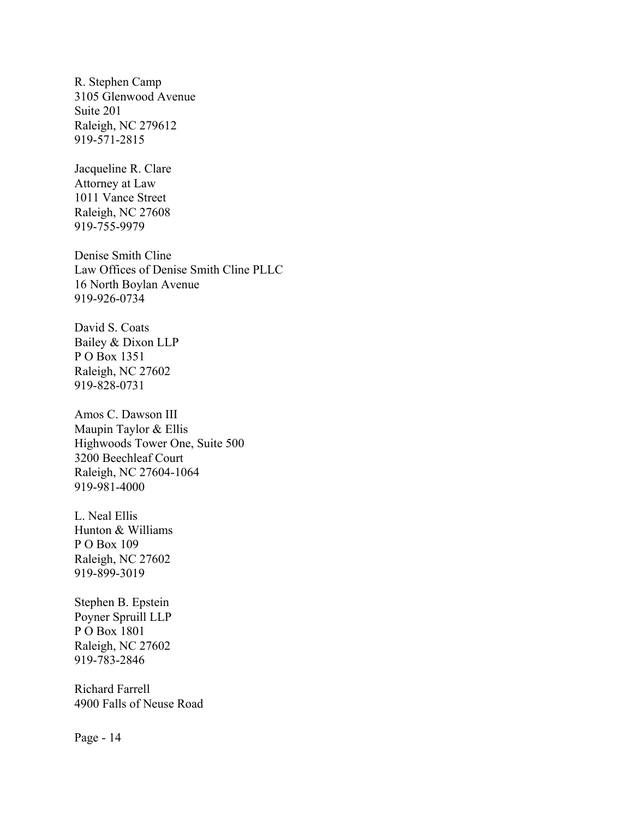R. Stephen Camp 3105 Glenwood Avenue Suite 201 Raleigh, NC 279612 919-571-2815

Jacqueline R. Clare Attorney at Law 1011 Vance Street Raleigh, NC 27608 919-755-9979

Denise Smith Cline Law Offices of Denise Smith Cline PLLC 16 North Boylan Avenue 919-926-0734

David S. Coats Bailey & Dixon LLP P O Box 1351 Raleigh, NC 27602 919-828-0731

Amos C. Dawson III Maupin Taylor & Ellis Highwoods Tower One, Suite 500 3200 Beechleaf Court Raleigh, NC 27604-1064 919-981-4000

L. Neal Ellis Hunton & Williams P O Box 109 Raleigh, NC 27602 919-899-3019

Stephen B. Epstein Poyner Spruill LLP P O Box 1801 Raleigh, NC 27602 919-783-2846

Richard Farrell 4900 Falls of Neuse Road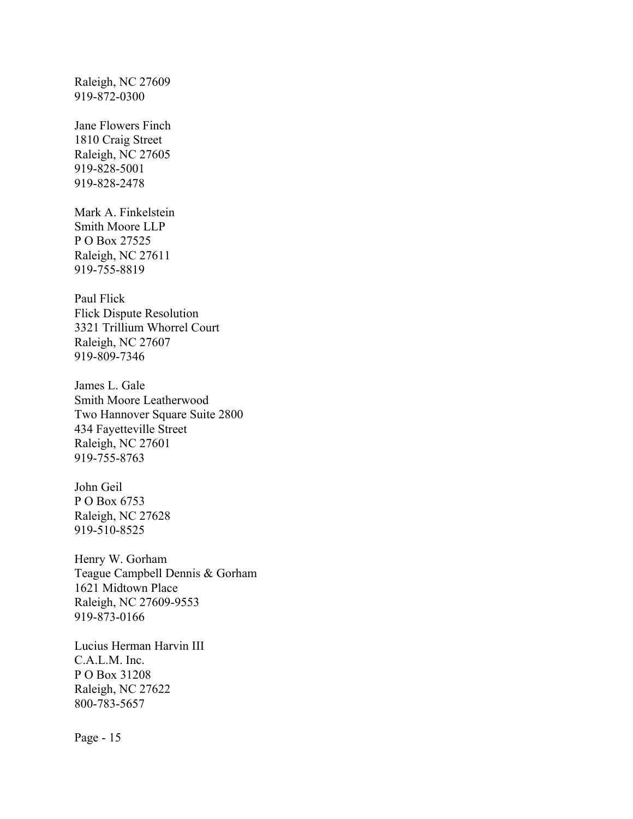Raleigh, NC 27609 919-872-0300

Jane Flowers Finch 1810 Craig Street Raleigh, NC 27605 919-828-5001 919-828-2478

Mark A. Finkelstein Smith Moore LLP P O Box 27525 Raleigh, NC 27611 919-755-8819

Paul Flick Flick Dispute Resolution 3321 Trillium Whorrel Court Raleigh, NC 27607 919-809-7346

James L. Gale Smith Moore Leatherwood Two Hannover Square Suite 2800 434 Fayetteville Street Raleigh, NC 27601 919-755-8763

John Geil P O Box 6753 Raleigh, NC 27628 919-510-8525

Henry W. Gorham Teague Campbell Dennis & Gorham 1621 Midtown Place Raleigh, NC 27609-9553 919-873-0166

Lucius Herman Harvin III C.A.L.M. Inc. P O Box 31208 Raleigh, NC 27622 800-783-5657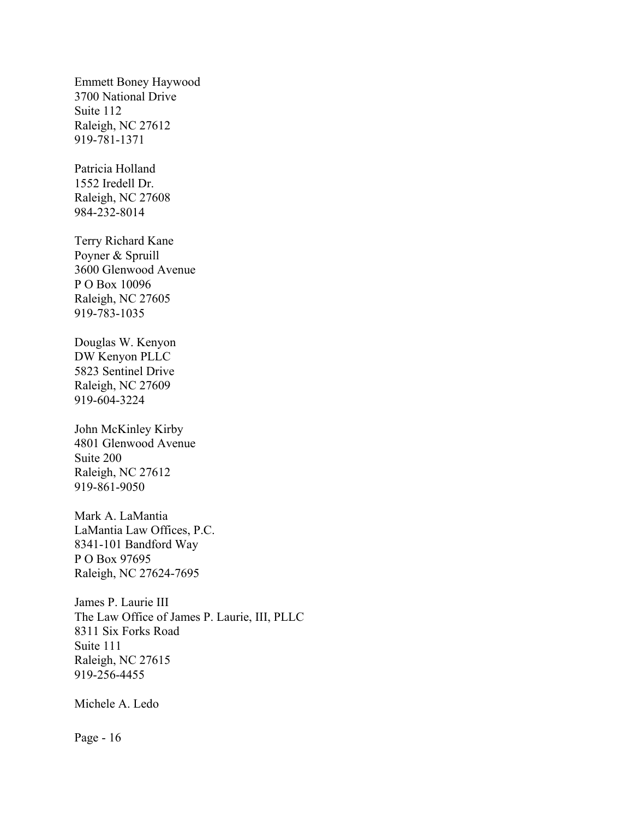Emmett Boney Haywood 3700 National Drive Suite 112 Raleigh, NC 27612 919-781-1371

Patricia Holland 1552 Iredell Dr. Raleigh, NC 27608 984-232-8014

Terry Richard Kane Poyner & Spruill 3600 Glenwood Avenue P O Box 10096 Raleigh, NC 27605 919-783-1035

Douglas W. Kenyon DW Kenyon PLLC 5823 Sentinel Drive Raleigh, NC 27609 919-604-3224

John McKinley Kirby 4801 Glenwood Avenue Suite 200 Raleigh, NC 27612 919-861-9050

Mark A. LaMantia LaMantia Law Offices, P.C. 8341-101 Bandford Way P O Box 97695 Raleigh, NC 27624-7695

James P. Laurie III The Law Office of James P. Laurie, III, PLLC 8311 Six Forks Road Suite 111 Raleigh, NC 27615 919-256-4455

Michele A. Ledo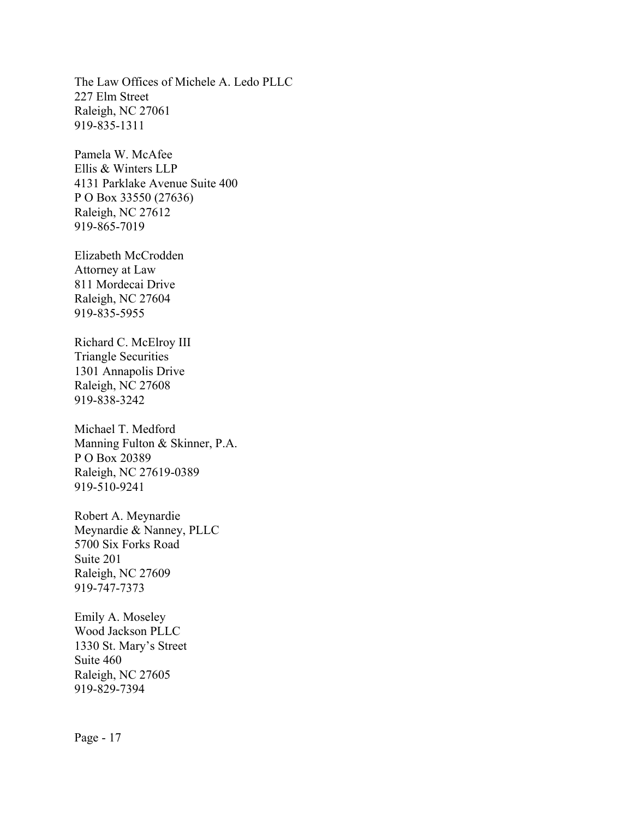The Law Offices of Michele A. Ledo PLLC 227 Elm Street Raleigh, NC 27061 919-835-1311

Pamela W. McAfee Ellis & Winters LLP 4131 Parklake Avenue Suite 400 P O Box 33550 (27636) Raleigh, NC 27612 919-865-7019

Elizabeth McCrodden Attorney at Law 811 Mordecai Drive Raleigh, NC 27604 919-835-5955

Richard C. McElroy III Triangle Securities 1301 Annapolis Drive Raleigh, NC 27608 919-838-3242

Michael T. Medford Manning Fulton & Skinner, P.A. P O Box 20389 Raleigh, NC 27619-0389 919-510-9241

Robert A. Meynardie Meynardie & Nanney, PLLC 5700 Six Forks Road Suite 201 Raleigh, NC 27609 919-747-7373

Emily A. Moseley Wood Jackson PLLC 1330 St. Mary's Street Suite 460 Raleigh, NC 27605 919-829-7394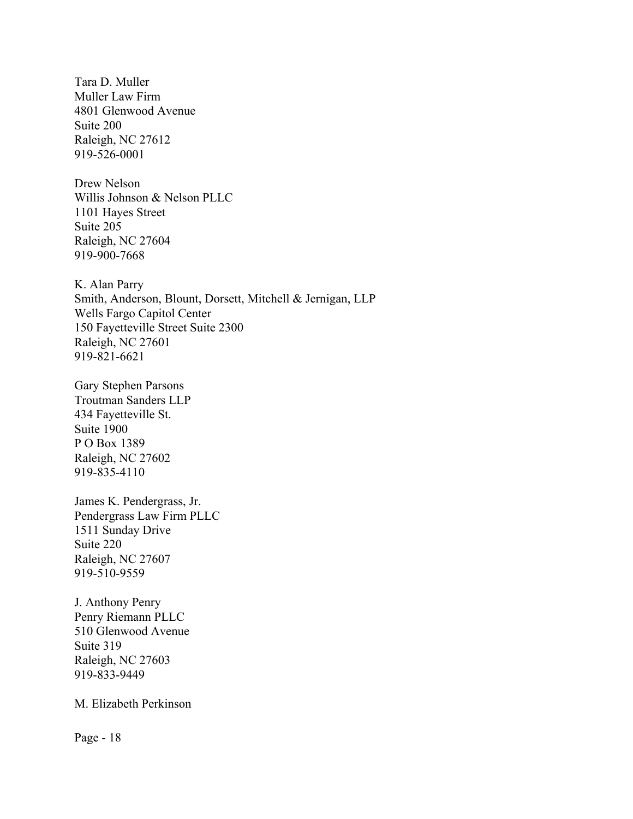Tara D. Muller Muller Law Firm 4801 Glenwood Avenue Suite 200 Raleigh, NC 27612 919-526-0001

Drew Nelson Willis Johnson & Nelson PLLC 1101 Hayes Street Suite 205 Raleigh, NC 27604 919-900-7668

K. Alan Parry Smith, Anderson, Blount, Dorsett, Mitchell & Jernigan, LLP Wells Fargo Capitol Center 150 Fayetteville Street Suite 2300 Raleigh, NC 27601 919-821-6621

Gary Stephen Parsons Troutman Sanders LLP 434 Fayetteville St. Suite 1900 P O Box 1389 Raleigh, NC 27602 919-835-4110

James K. Pendergrass, Jr. Pendergrass Law Firm PLLC 1511 Sunday Drive Suite 220 Raleigh, NC 27607 919-510-9559

J. Anthony Penry Penry Riemann PLLC 510 Glenwood Avenue Suite 319 Raleigh, NC 27603 919-833-9449

M. Elizabeth Perkinson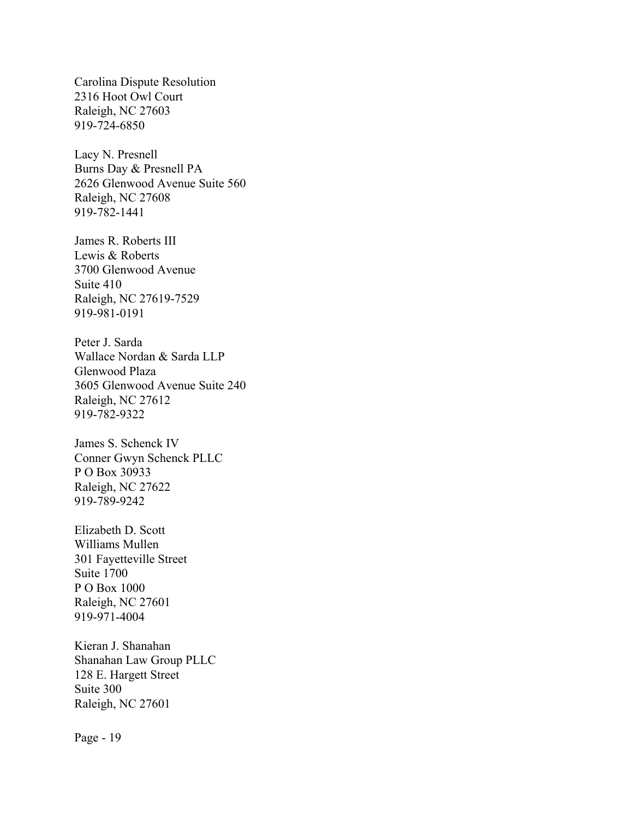Carolina Dispute Resolution 2316 Hoot Owl Court Raleigh, NC 27603 919-724-6850

Lacy N. Presnell Burns Day & Presnell PA 2626 Glenwood Avenue Suite 560 Raleigh, NC 27608 919-782-1441

James R. Roberts III Lewis & Roberts 3700 Glenwood Avenue Suite 410 Raleigh, NC 27619-7529 919-981-0191

Peter J. Sarda Wallace Nordan & Sarda LLP Glenwood Plaza 3605 Glenwood Avenue Suite 240 Raleigh, NC 27612 919-782-9322

James S. Schenck IV Conner Gwyn Schenck PLLC P O Box 30933 Raleigh, NC 27622 919-789-9242

Elizabeth D. Scott Williams Mullen 301 Fayetteville Street Suite 1700 P O Box 1000 Raleigh, NC 27601 919-971-4004

Kieran J. Shanahan Shanahan Law Group PLLC 128 E. Hargett Street Suite 300 Raleigh, NC 27601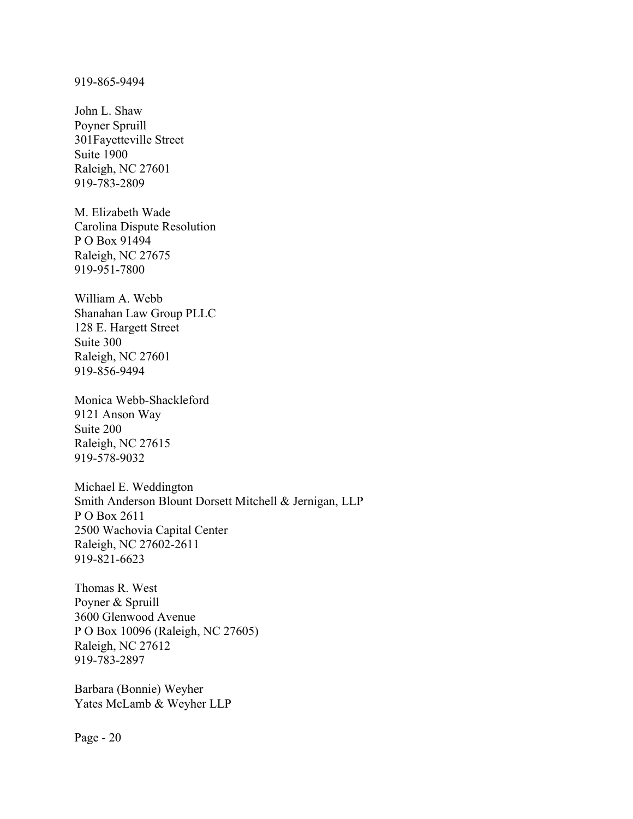#### 919-865-9494

John L. Shaw Poyner Spruill 301Fayetteville Street Suite 1900 Raleigh, NC 27601 919-783-2809

M. Elizabeth Wade Carolina Dispute Resolution P O Box 91494 Raleigh, NC 27675 919-951-7800

William A. Webb Shanahan Law Group PLLC 128 E. Hargett Street Suite 300 Raleigh, NC 27601 919-856-9494

Monica Webb-Shackleford 9121 Anson Way Suite 200 Raleigh, NC 27615 919-578-9032

Michael E. Weddington Smith Anderson Blount Dorsett Mitchell & Jernigan, LLP P O Box 2611 2500 Wachovia Capital Center Raleigh, NC 27602-2611 919-821-6623

Thomas R. West Poyner & Spruill 3600 Glenwood Avenue P O Box 10096 (Raleigh, NC 27605) Raleigh, NC 27612 919-783-2897

Barbara (Bonnie) Weyher Yates McLamb & Weyher LLP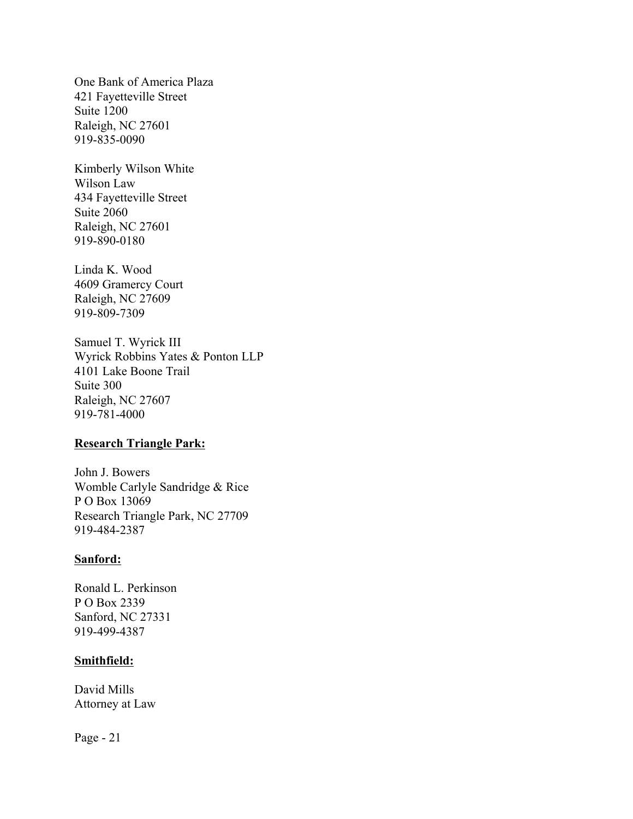One Bank of America Plaza 421 Fayetteville Street Suite 1200 Raleigh, NC 27601 919-835-0090

Kimberly Wilson White Wilson Law 434 Fayetteville Street Suite 2060 Raleigh, NC 27601 919-890-0180

Linda K. Wood 4609 Gramercy Court Raleigh, NC 27609 919-809-7309

Samuel T. Wyrick III Wyrick Robbins Yates & Ponton LLP 4101 Lake Boone Trail Suite 300 Raleigh, NC 27607 919-781-4000

# **Research Triangle Park:**

John J. Bowers Womble Carlyle Sandridge & Rice P O Box 13069 Research Triangle Park, NC 27709 919-484-2387

#### **Sanford:**

Ronald L. Perkinson P O Box 2339 Sanford, NC 27331 919-499-4387

## **Smithfield:**

David Mills Attorney at Law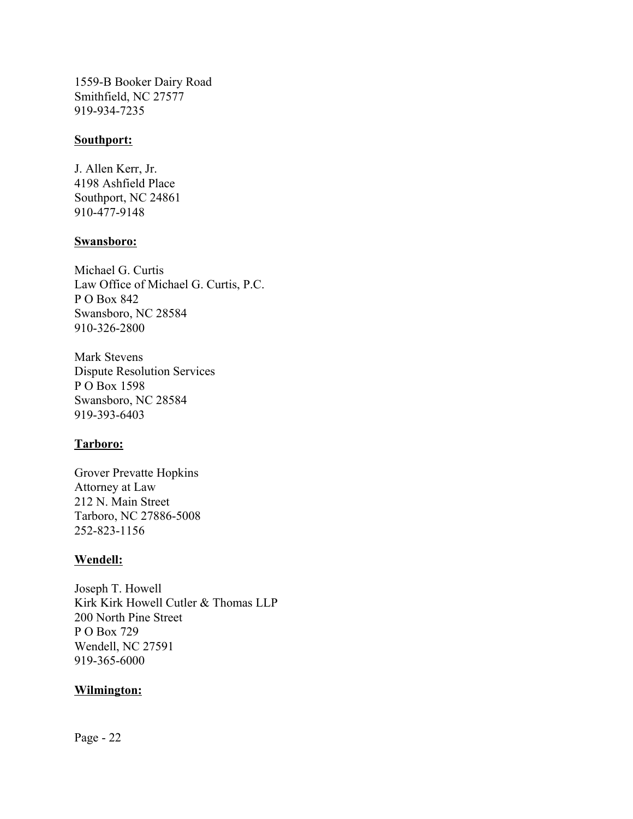1559-B Booker Dairy Road Smithfield, NC 27577 919-934-7235

## **Southport:**

J. Allen Kerr, Jr. 4198 Ashfield Place Southport, NC 24861 910-477-9148

# **Swansboro:**

Michael G. Curtis Law Office of Michael G. Curtis, P.C. P O Box 842 Swansboro, NC 28584 910-326-2800

Mark Stevens Dispute Resolution Services P O Box 1598 Swansboro, NC 28584 919-393-6403

# **Tarboro:**

Grover Prevatte Hopkins Attorney at Law 212 N. Main Street Tarboro, NC 27886-5008 252-823-1156

# **Wendell:**

Joseph T. Howell Kirk Kirk Howell Cutler & Thomas LLP 200 North Pine Street P O Box 729 Wendell, NC 27591 919-365-6000

# **Wilmington:**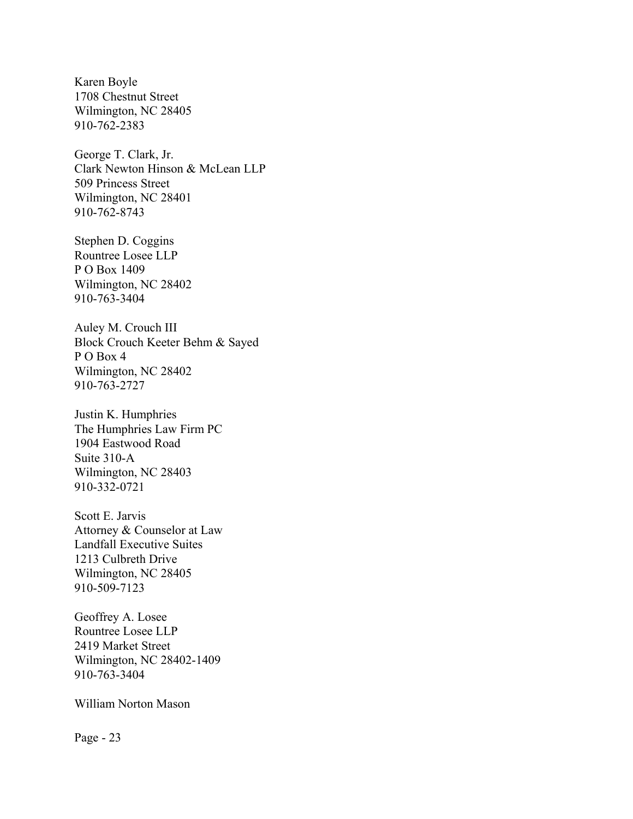Karen Boyle 1708 Chestnut Street Wilmington, NC 28405 910-762-2383

George T. Clark, Jr. Clark Newton Hinson & McLean LLP 509 Princess Street Wilmington, NC 28401 910-762-8743

Stephen D. Coggins Rountree Losee LLP P O Box 1409 Wilmington, NC 28402 910-763-3404

Auley M. Crouch III Block Crouch Keeter Behm & Sayed P O Box 4 Wilmington, NC 28402 910-763-2727

Justin K. Humphries The Humphries Law Firm PC 1904 Eastwood Road Suite 310-A Wilmington, NC 28403 910-332-0721

Scott E. Jarvis Attorney & Counselor at Law Landfall Executive Suites 1213 Culbreth Drive Wilmington, NC 28405 910-509-7123

Geoffrey A. Losee Rountree Losee LLP 2419 Market Street Wilmington, NC 28402-1409 910-763-3404

William Norton Mason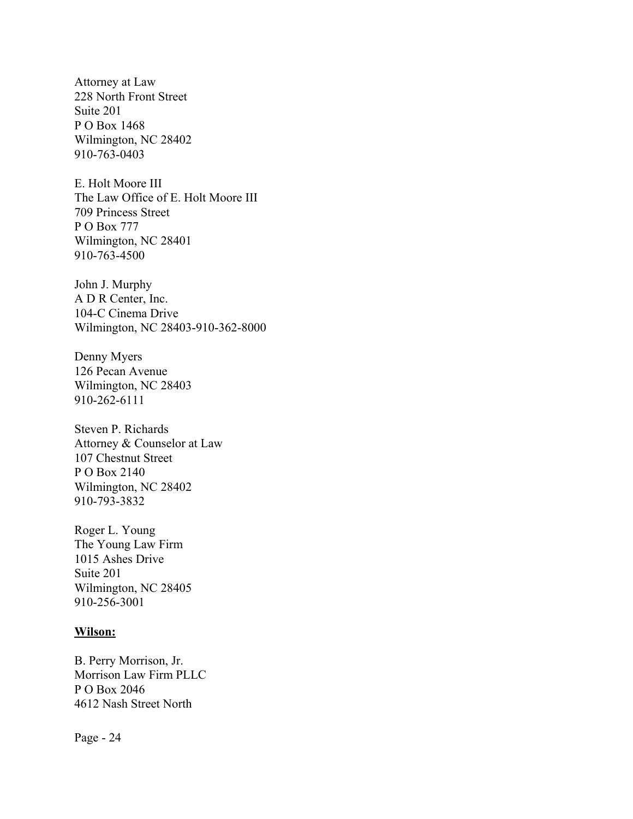Attorney at Law 228 North Front Street Suite 201 P O Box 1468 Wilmington, NC 28402 910-763-0403

E. Holt Moore III The Law Office of E. Holt Moore III 709 Princess Street P O Box 777 Wilmington, NC 28401 910-763-4500

John J. Murphy A D R Center, Inc. 104-C Cinema Drive Wilmington, NC 28403-910-362-8000

Denny Myers 126 Pecan Avenue Wilmington, NC 28403 910-262-6111

Steven P. Richards Attorney & Counselor at Law 107 Chestnut Street P O Box 2140 Wilmington, NC 28402 910-793-3832

Roger L. Young The Young Law Firm 1015 Ashes Drive Suite 201 Wilmington, NC 28405 910-256-3001

#### **Wilson:**

B. Perry Morrison, Jr. Morrison Law Firm PLLC P O Box 2046 4612 Nash Street North